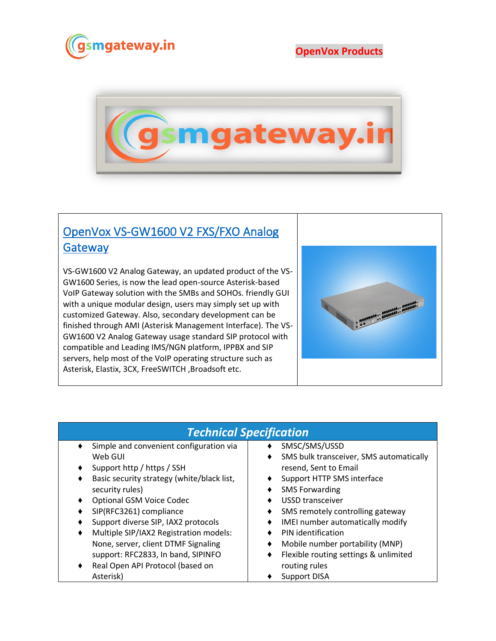

## **OpenVox Products**



## [OpenVox VS-GW1600 V2 FXS/FXO Analog](https://www.gsmgateway.in/openvox/VS-GW1600-V2-FXSFXO-Analog-Gateway.html)  **Gateway**

VS-GW1600 V2 Analog Gateway, an updated product of the VS-GW1600 Series, is now the lead open-source Asterisk-based VoIP Gateway solution with the SMBs and SOHOs. friendly GUI with a unique modular design, users may simply set up with customized Gateway. Also, secondary development can be finished through AMI (Asterisk Management Interface). The VS-GW1600 V2 Analog Gateway usage standard SIP protocol with compatible and Leading IMS/NGN platform, IPPBX and SIP servers, help most of the VoIP operating structure such as Asterisk, Elastix, 3CX, FreeSWITCH ,Broadsoft etc.



## *Technical Specification*

- Simple and convenient configuration via Web GUI
- ♦ Support http / https / SSH
- ♦ Basic security strategy (white/black list, security rules)
- ♦ Optional GSM Voice Codec
- ♦ SIP(RFC3261) compliance
- Support diverse SIP, IAX2 protocols
- Multiple SIP/IAX2 Registration models: None, server, client DTMF Signaling support: RFC2833, In band, SIPINFO
- Real Open API Protocol (based on Asterisk)
- ♦ SMSC/SMS/USSD
- ♦ SMS bulk transceiver, SMS automatically resend, Sent to Email
- ♦ Support HTTP SMS interface
- ♦ SMS Forwarding
- ♦ USSD transceiver
- ♦ SMS remotely controlling gateway
- ♦ IMEI number automatically modify
- ♦ PIN identification
- ♦ Mobile number portability (MNP)
- ♦ Flexible routing settings & unlimited routing rules
- ♦ Support DISA